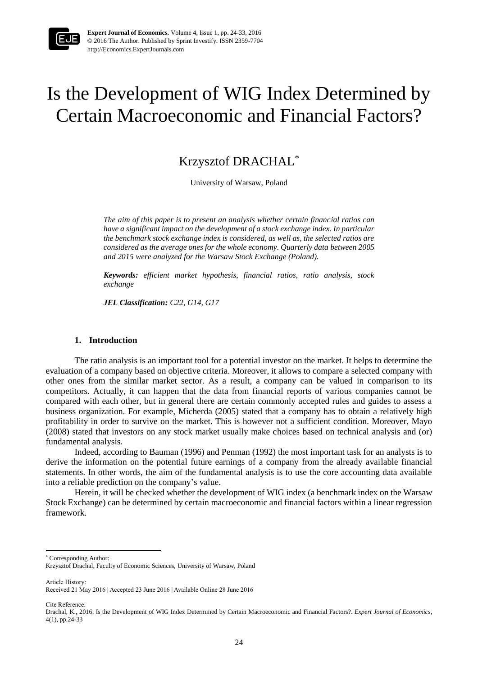

**Expert Journal of Economics.** Volume 4, Issue 1, pp. 24-33, 2016 © 2016 The Author. Published by Sprint Investify. ISSN 2359-7704 http://Economics.ExpertJournals.com

# Is the Development of WIG Index Determined by Certain Macroeconomic and Financial Factors?

# Krzysztof DRACHAL\*

University of Warsaw, Poland

*The aim of this paper is to present an analysis whether certain financial ratios can have a significant impact on the development of a stock exchange index. In particular the benchmark stock exchange index is considered, as well as, the selected ratios are considered as the average ones for the whole economy. Quarterly data between 2005 and 2015 were analyzed for the Warsaw Stock Exchange (Poland).*

*Keywords: efficient market hypothesis, financial ratios, ratio analysis, stock exchange*

*JEL Classification: C22, G14, G17*

#### **1. Introduction**

The ratio analysis is an important tool for a potential investor on the market. It helps to determine the evaluation of a company based on objective criteria. Moreover, it allows to compare a selected company with other ones from the similar market sector. As a result, a company can be valued in comparison to its competitors. Actually, it can happen that the data from financial reports of various companies cannot be compared with each other, but in general there are certain commonly accepted rules and guides to assess a business organization. For example, Micherda (2005) stated that a company has to obtain a relatively high profitability in order to survive on the market. This is however not a sufficient condition. Moreover, Mayo (2008) stated that investors on any stock market usually make choices based on technical analysis and (or) fundamental analysis.

Indeed, according to Bauman (1996) and Penman (1992) the most important task for an analysts is to derive the information on the potential future earnings of a company from the already available financial statements. In other words, the aim of the fundamental analysis is to use the core accounting data available into a reliable prediction on the company's value.

Herein, it will be checked whether the development of WIG index (a benchmark index on the Warsaw Stock Exchange) can be determined by certain macroeconomic and financial factors within a linear regression framework.

Article History: Received 21 May 2016 | Accepted 23 June 2016 | Available Online 28 June 2016

Cite Reference:

**.** 

<sup>\*</sup> Corresponding Author:

Krzysztof Drachal, Faculty of Economic Sciences, University of Warsaw, Poland

Drachal, K., 2016. Is the Development of WIG Index Determined by Certain Macroeconomic and Financial Factors?. *Expert Journal of Economics*, 4(1), pp.24-33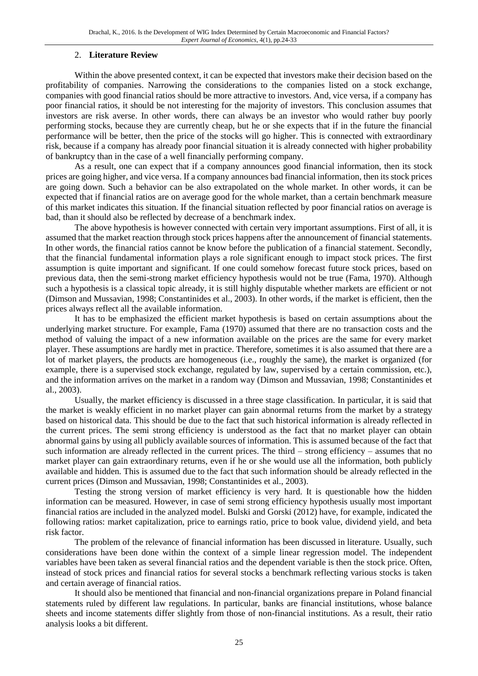### 2. **Literature Review**

Within the above presented context, it can be expected that investors make their decision based on the profitability of companies. Narrowing the considerations to the companies listed on a stock exchange, companies with good financial ratios should be more attractive to investors. And, vice versa, if a company has poor financial ratios, it should be not interesting for the majority of investors. This conclusion assumes that investors are risk averse. In other words, there can always be an investor who would rather buy poorly performing stocks, because they are currently cheap, but he or she expects that if in the future the financial performance will be better, then the price of the stocks will go higher. This is connected with extraordinary risk, because if a company has already poor financial situation it is already connected with higher probability of bankruptcy than in the case of a well financially performing company.

As a result, one can expect that if a company announces good financial information, then its stock prices are going higher, and vice versa. If a company announces bad financial information, then its stock prices are going down. Such a behavior can be also extrapolated on the whole market. In other words, it can be expected that if financial ratios are on average good for the whole market, than a certain benchmark measure of this market indicates this situation. If the financial situation reflected by poor financial ratios on average is bad, than it should also be reflected by decrease of a benchmark index.

The above hypothesis is however connected with certain very important assumptions. First of all, it is assumed that the market reaction through stock prices happens after the announcement of financial statements. In other words, the financial ratios cannot be know before the publication of a financial statement. Secondly, that the financial fundamental information plays a role significant enough to impact stock prices. The first assumption is quite important and significant. If one could somehow forecast future stock prices, based on previous data, then the semi-strong market efficiency hypothesis would not be true (Fama, 1970). Although such a hypothesis is a classical topic already, it is still highly disputable whether markets are efficient or not (Dimson and Mussavian, 1998; Constantinides et al., 2003). In other words, if the market is efficient, then the prices always reflect all the available information.

It has to be emphasized the efficient market hypothesis is based on certain assumptions about the underlying market structure. For example, Fama (1970) assumed that there are no transaction costs and the method of valuing the impact of a new information available on the prices are the same for every market player. These assumptions are hardly met in practice. Therefore, sometimes it is also assumed that there are a lot of market players, the products are homogeneous (i.e., roughly the same), the market is organized (for example, there is a supervised stock exchange, regulated by law, supervised by a certain commission, etc.), and the information arrives on the market in a random way (Dimson and Mussavian, 1998; Constantinides et al., 2003).

Usually, the market efficiency is discussed in a three stage classification. In particular, it is said that the market is weakly efficient in no market player can gain abnormal returns from the market by a strategy based on historical data. This should be due to the fact that such historical information is already reflected in the current prices. The semi strong efficiency is understood as the fact that no market player can obtain abnormal gains by using all publicly available sources of information. This is assumed because of the fact that such information are already reflected in the current prices. The third – strong efficiency – assumes that no market player can gain extraordinary returns, even if he or she would use all the information, both publicly available and hidden. This is assumed due to the fact that such information should be already reflected in the current prices (Dimson and Mussavian, 1998; Constantinides et al., 2003).

Testing the strong version of market efficiency is very hard. It is questionable how the hidden information can be measured. However, in case of semi strong efficiency hypothesis usually most important financial ratios are included in the analyzed model. Bulski and Gorski (2012) have, for example, indicated the following ratios: market capitalization, price to earnings ratio, price to book value, dividend yield, and beta risk factor.

The problem of the relevance of financial information has been discussed in literature. Usually, such considerations have been done within the context of a simple linear regression model. The independent variables have been taken as several financial ratios and the dependent variable is then the stock price. Often, instead of stock prices and financial ratios for several stocks a benchmark reflecting various stocks is taken and certain average of financial ratios.

It should also be mentioned that financial and non-financial organizations prepare in Poland financial statements ruled by different law regulations. In particular, banks are financial institutions, whose balance sheets and income statements differ slightly from those of non-financial institutions. As a result, their ratio analysis looks a bit different.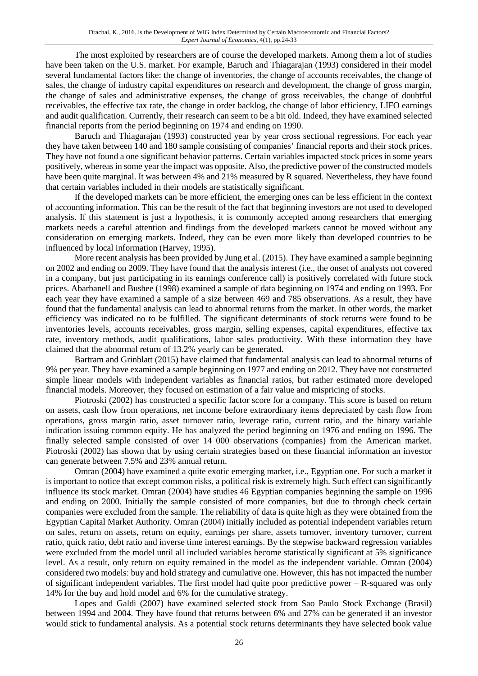The most exploited by researchers are of course the developed markets. Among them a lot of studies have been taken on the U.S. market. For example, Baruch and Thiagarajan (1993) considered in their model several fundamental factors like: the change of inventories, the change of accounts receivables, the change of sales, the change of industry capital expenditures on research and development, the change of gross margin, the change of sales and administrative expenses, the change of gross receivables, the change of doubtful receivables, the effective tax rate, the change in order backlog, the change of labor efficiency, LIFO earnings and audit qualification. Currently, their research can seem to be a bit old. Indeed, they have examined selected financial reports from the period beginning on 1974 and ending on 1990.

Baruch and Thiagarajan (1993) constructed year by year cross sectional regressions. For each year they have taken between 140 and 180 sample consisting of companies' financial reports and their stock prices. They have not found a one significant behavior patterns. Certain variables impacted stock prices in some years positively, whereas in some year the impact was opposite. Also, the predictive power of the constructed models have been quite marginal. It was between 4% and 21% measured by R squared. Nevertheless, they have found that certain variables included in their models are statistically significant.

If the developed markets can be more efficient, the emerging ones can be less efficient in the context of accounting information. This can be the result of the fact that beginning investors are not used to developed analysis. If this statement is just a hypothesis, it is commonly accepted among researchers that emerging markets needs a careful attention and findings from the developed markets cannot be moved without any consideration on emerging markets. Indeed, they can be even more likely than developed countries to be influenced by local information (Harvey, 1995).

More recent analysis has been provided by Jung et al. (2015). They have examined a sample beginning on 2002 and ending on 2009. They have found that the analysis interest (i.e., the onset of analysts not covered in a company, but just participating in its earnings conference call) is positively correlated with future stock prices. Abarbanell and Bushee (1998) examined a sample of data beginning on 1974 and ending on 1993. For each year they have examined a sample of a size between 469 and 785 observations. As a result, they have found that the fundamental analysis can lead to abnormal returns from the market. In other words, the market efficiency was indicated no to be fulfilled. The significant determinants of stock returns were found to be inventories levels, accounts receivables, gross margin, selling expenses, capital expenditures, effective tax rate, inventory methods, audit qualifications, labor sales productivity. With these information they have claimed that the abnormal return of 13.2% yearly can be generated.

Bartram and Grinblatt (2015) have claimed that fundamental analysis can lead to abnormal returns of 9% per year. They have examined a sample beginning on 1977 and ending on 2012. They have not constructed simple linear models with independent variables as financial ratios, but rather estimated more developed financial models. Moreover, they focused on estimation of a fair value and mispricing of stocks.

Piotroski (2002) has constructed a specific factor score for a company. This score is based on return on assets, cash flow from operations, net income before extraordinary items depreciated by cash flow from operations, gross margin ratio, asset turnover ratio, leverage ratio, current ratio, and the binary variable indication issuing common equity. He has analyzed the period beginning on 1976 and ending on 1996. The finally selected sample consisted of over 14 000 observations (companies) from the American market. Piotroski (2002) has shown that by using certain strategies based on these financial information an investor can generate between 7.5% and 23% annual return.

Omran (2004) have examined a quite exotic emerging market, i.e., Egyptian one. For such a market it is important to notice that except common risks, a political risk is extremely high. Such effect can significantly influence its stock market. Omran (2004) have studies 46 Egyptian companies beginning the sample on 1996 and ending on 2000. Initially the sample consisted of more companies, but due to through check certain companies were excluded from the sample. The reliability of data is quite high as they were obtained from the Egyptian Capital Market Authority. Omran (2004) initially included as potential independent variables return on sales, return on assets, return on equity, earnings per share, assets turnover, inventory turnover, current ratio, quick ratio, debt ratio and inverse time interest earnings. By the stepwise backward regression variables were excluded from the model until all included variables become statistically significant at 5% significance level. As a result, only return on equity remained in the model as the independent variable. Omran (2004) considered two models: buy and hold strategy and cumulative one. However, this has not impacted the number of significant independent variables. The first model had quite poor predictive power – R-squared was only 14% for the buy and hold model and 6% for the cumulative strategy.

Lopes and Galdi (2007) have examined selected stock from Sao Paulo Stock Exchange (Brasil) between 1994 and 2004. They have found that returns between 6% and 27% can be generated if an investor would stick to fundamental analysis. As a potential stock returns determinants they have selected book value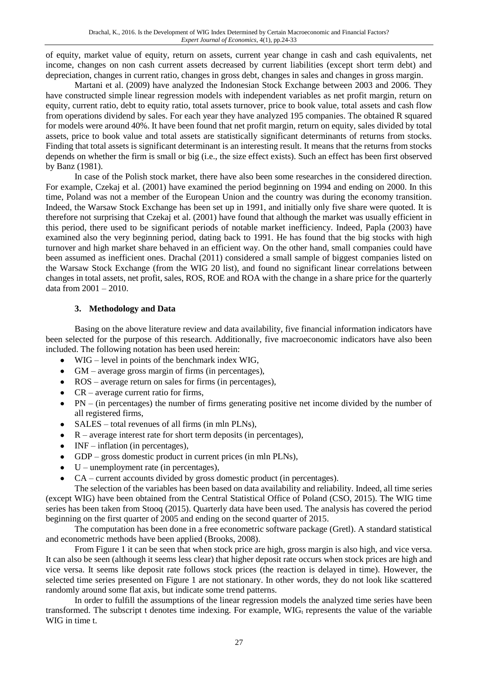of equity, market value of equity, return on assets, current year change in cash and cash equivalents, net income, changes on non cash current assets decreased by current liabilities (except short term debt) and depreciation, changes in current ratio, changes in gross debt, changes in sales and changes in gross margin.

Martani et al. (2009) have analyzed the Indonesian Stock Exchange between 2003 and 2006. They have constructed simple linear regression models with independent variables as net profit margin, return on equity, current ratio, debt to equity ratio, total assets turnover, price to book value, total assets and cash flow from operations dividend by sales. For each year they have analyzed 195 companies. The obtained R squared for models were around 40%. It have been found that net profit margin, return on equity, sales divided by total assets, price to book value and total assets are statistically significant determinants of returns from stocks. Finding that total assets is significant determinant is an interesting result. It means that the returns from stocks depends on whether the firm is small or big (i.e., the size effect exists). Such an effect has been first observed by Banz (1981).

In case of the Polish stock market, there have also been some researches in the considered direction. For example, Czekaj et al. (2001) have examined the period beginning on 1994 and ending on 2000. In this time, Poland was not a member of the European Union and the country was during the economy transition. Indeed, the Warsaw Stock Exchange has been set up in 1991, and initially only five share were quoted. It is therefore not surprising that Czekaj et al. (2001) have found that although the market was usually efficient in this period, there used to be significant periods of notable market inefficiency. Indeed, Papla (2003) have examined also the very beginning period, dating back to 1991. He has found that the big stocks with high turnover and high market share behaved in an efficient way. On the other hand, small companies could have been assumed as inefficient ones. Drachal (2011) considered a small sample of biggest companies listed on the Warsaw Stock Exchange (from the WIG 20 list), and found no significant linear correlations between changes in total assets, net profit, sales, ROS, ROE and ROA with the change in a share price for the quarterly data from 2001 – 2010.

### **3. Methodology and Data**

Basing on the above literature review and data availability, five financial information indicators have been selected for the purpose of this research. Additionally, five macroeconomic indicators have also been included. The following notation has been used herein:

- WIG level in points of the benchmark index WIG,
- GM average gross margin of firms (in percentages),
- ROS average return on sales for firms (in percentages),
- $\bullet$   $CR$  average current ratio for firms,
- PN (in percentages) the number of firms generating positive net income divided by the number of all registered firms,
- SALES total revenues of all firms (in mln PLNs),
- $\bullet$  R average interest rate for short term deposits (in percentages),
- $\bullet$  INF inflation (in percentages).
- GDP gross domestic product in current prices (in mln PLNs),
- $\bullet$  U unemployment rate (in percentages),
- CA current accounts divided by gross domestic product (in percentages).

The selection of the variables has been based on data availability and reliability. Indeed, all time series (except WIG) have been obtained from the Central Statistical Office of Poland (CSO, 2015). The WIG time series has been taken from Stooq (2015). Quarterly data have been used. The analysis has covered the period beginning on the first quarter of 2005 and ending on the second quarter of 2015.

The computation has been done in a free econometric software package (Gretl). A standard statistical and econometric methods have been applied (Brooks, 2008).

From Figure 1 it can be seen that when stock price are high, gross margin is also high, and vice versa. It can also be seen (although it seems less clear) that higher deposit rate occurs when stock prices are high and vice versa. It seems like deposit rate follows stock prices (the reaction is delayed in time). However, the selected time series presented on Figure 1 are not stationary. In other words, they do not look like scattered randomly around some flat axis, but indicate some trend patterns.

In order to fulfill the assumptions of the linear regression models the analyzed time series have been transformed. The subscript t denotes time indexing. For example,  $WIG<sub>t</sub>$  represents the value of the variable WIG in time t.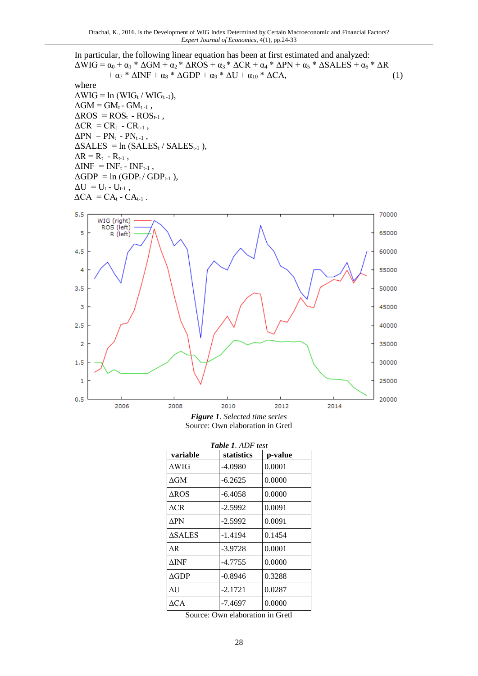In particular, the following linear equation has been at first estimated and analyzed:  $\Delta WIG = \alpha_0 + \alpha_1 * \Delta GM + \alpha_2 * \Delta ROS + \alpha_3 * \Delta CR + \alpha_4 * \Delta PN + \alpha_5 * \Delta SALES + \alpha_6 * \Delta R$  $+\alpha_7 * \Delta INF + \alpha_8 * \Delta GDP + \alpha_9 * \Delta U + \alpha_{10} * \Delta CA,$  (1) where  $\Delta WIG = \ln (WIG_t / WIG_{t-1}),$  $\Delta GM = GM_t - GM_{t-1}$ ,  $\triangle ROS = ROS_t - ROS_{t-1}$ ,  $\Delta$ CR = CR<sub>t</sub> - CR<sub>t-1</sub>,  $\Delta P N = P N_t - P N_{t-1}$ ,  $\triangle SALES = \ln (SALES_t / SALES_{t-1}),$  $\Delta R = R_t - R_{t-1}$ ,  $\Delta INF = INF_t - INF_{t-1}$ ,  $\triangle GDP = \ln(GDP_t / GDP_{t-1}),$  $\Delta U = U_t - U_{t-1}$ ,  $\Delta$ CA = CA<sub>t</sub> - CA<sub>t-1</sub>.  $5.5$ 70000 WIG (right) ROS (left)  $\overline{\mathbf{5}}$ 65000 R (left)



*Figure 1. Selected time series* Source: Own elaboration in Gretl

| <b>Table 1. ADF</b> test |            |         |  |  |  |  |
|--------------------------|------------|---------|--|--|--|--|
| variable                 | statistics | p-value |  |  |  |  |
| AWIG                     | -4.0980    | 0.0001  |  |  |  |  |
| AGM                      | $-6.2625$  | 0.0000  |  |  |  |  |
| AROS                     | -6.4058    | 0.0000  |  |  |  |  |
| $\triangle$ CR           | $-2.5992$  | 0.0091  |  |  |  |  |
| <b>APN</b>               | $-2.5992$  | 0.0091  |  |  |  |  |
| $\Delta\text{SALES}$     | $-1.4194$  | 0.1454  |  |  |  |  |
| ΛR.                      | $-3.9728$  | 0.0001  |  |  |  |  |
| <b>AINF</b>              | -4.7755    | 0.0000  |  |  |  |  |
| AGDP                     | -0.8946    | 0.3288  |  |  |  |  |
| ΛU                       | $-2.1721$  | 0.0287  |  |  |  |  |
| ACA                      | -7.4697    | 0.0000  |  |  |  |  |

Source: Own elaboration in Gretl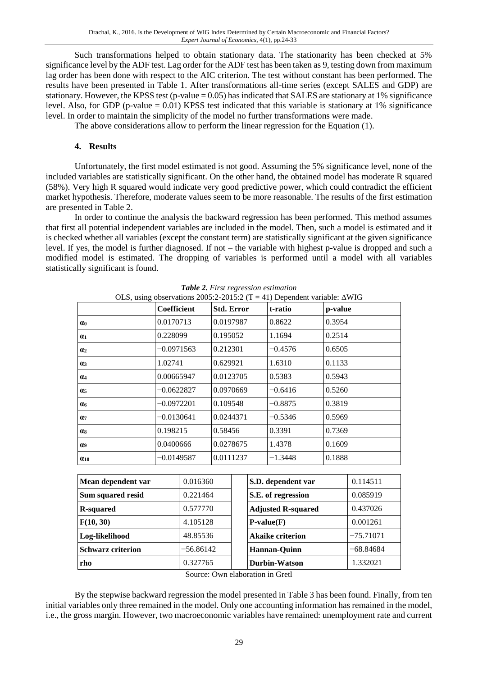Such transformations helped to obtain stationary data. The stationarity has been checked at 5% significance level by the ADF test. Lag order for the ADF test has been taken as 9, testing down from maximum lag order has been done with respect to the AIC criterion. The test without constant has been performed. The results have been presented in Table 1. After transformations all-time series (except SALES and GDP) are stationary. However, the KPSS test (p-value  $= 0.05$ ) has indicated that SALES are stationary at 1% significance level. Also, for GDP (p-value = 0.01) KPSS test indicated that this variable is stationary at 1% significance level. In order to maintain the simplicity of the model no further transformations were made.

The above considerations allow to perform the linear regression for the Equation (1).

### **4. Results**

Unfortunately, the first model estimated is not good. Assuming the 5% significance level, none of the included variables are statistically significant. On the other hand, the obtained model has moderate R squared (58%). Very high R squared would indicate very good predictive power, which could contradict the efficient market hypothesis. Therefore, moderate values seem to be more reasonable. The results of the first estimation are presented in Table 2.

In order to continue the analysis the backward regression has been performed. This method assumes that first all potential independent variables are included in the model. Then, such a model is estimated and it is checked whether all variables (except the constant term) are statistically significant at the given significance level. If yes, the model is further diagnosed. If not – the variable with highest p-value is dropped and such a modified model is estimated. The dropping of variables is performed until a model with all variables statistically significant is found.

|                       | Coefficient  | <b>Std. Error</b> | t-ratio   | p-value |  |
|-----------------------|--------------|-------------------|-----------|---------|--|
| $\alpha_0$            | 0.0170713    | 0.0197987         | 0.8622    | 0.3954  |  |
| $\alpha_1$            | 0.228099     | 0.195052          | 1.1694    | 0.2514  |  |
| $\alpha$ <sub>2</sub> | $-0.0971563$ | 0.212301          | $-0.4576$ | 0.6505  |  |
| $\alpha_3$            | 1.02741      | 0.629921          | 1.6310    | 0.1133  |  |
| $\alpha$ <sub>4</sub> | 0.00665947   | 0.0123705         | 0.5383    | 0.5943  |  |
| $\alpha_5$            | $-0.0622827$ | 0.0970669         | $-0.6416$ | 0.5260  |  |
| <b>a</b>              | $-0.0972201$ | 0.109548          | $-0.8875$ | 0.3819  |  |
| $\alpha$ <sub>7</sub> | $-0.0130641$ | 0.0244371         | $-0.5346$ | 0.5969  |  |
| $\alpha$ s            | 0.198215     | 0.58456           | 0.3391    | 0.7369  |  |
| $\alpha$ <sup>o</sup> | 0.0400666    | 0.0278675         | 1.4378    | 0.1609  |  |
| $\alpha_{10}$         | $-0.0149587$ | 0.0111237         | $-1.3448$ | 0.1888  |  |

*Table 2. First regression estimation* OLS, using observations 2005:2-2015:2 ( $T = 41$ ) Dependent variable:  $\triangle WIG$ 

| Mean dependent var       | 0.016360    | S.D. dependent var        | 0.114511    |
|--------------------------|-------------|---------------------------|-------------|
| Sum squared resid        | 0.221464    | S.E. of regression        | 0.085919    |
| <b>R-squared</b>         | 0.577770    | <b>Adjusted R-squared</b> | 0.437026    |
| F(10, 30)                | 4.105128    | $P-value(F)$              | 0.001261    |
| Log-likelihood           | 48.85536    | <b>Akaike criterion</b>   | $-75.71071$ |
| <b>Schwarz criterion</b> | $-56.86142$ | Hannan-Quinn              | $-68.84684$ |
| rho                      | 0.327765    | <b>Durbin-Watson</b>      | 1.332021    |

Source: Own elaboration in Gretl

By the stepwise backward regression the model presented in Table 3 has been found. Finally, from ten initial variables only three remained in the model. Only one accounting information has remained in the model, i.e., the gross margin. However, two macroeconomic variables have remained: unemployment rate and current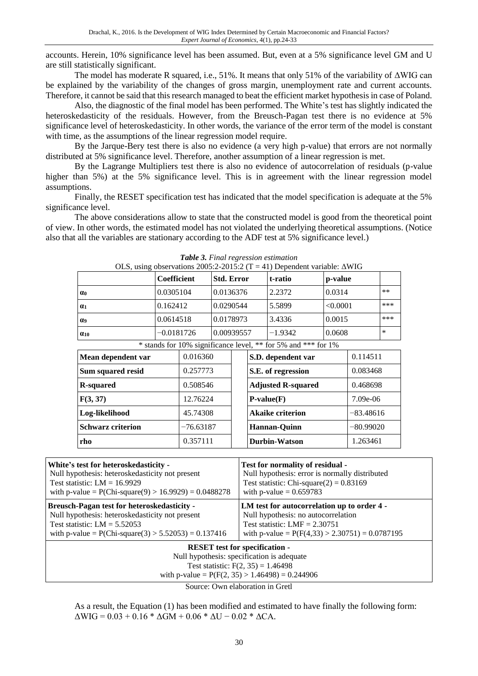accounts. Herein, 10% significance level has been assumed. But, even at a 5% significance level GM and U are still statistically significant.

The model has moderate R squared, i.e., 51%. It means that only 51% of the variability of ΔWIG can be explained by the variability of the changes of gross margin, unemployment rate and current accounts. Therefore, it cannot be said that this research managed to beat the efficient market hypothesis in case of Poland.

Also, the diagnostic of the final model has been performed. The White's test has slightly indicated the heteroskedasticity of the residuals. However, from the Breusch-Pagan test there is no evidence at 5% significance level of heteroskedasticity. In other words, the variance of the error term of the model is constant with time, as the assumptions of the linear regression model require.

By the Jarque-Bery test there is also no evidence (a very high p-value) that errors are not normally distributed at 5% significance level. Therefore, another assumption of a linear regression is met.

By the Lagrange Multipliers test there is also no evidence of autocorrelation of residuals (p-value higher than 5%) at the 5% significance level. This is in agreement with the linear regression model assumptions.

Finally, the RESET specification test has indicated that the model specification is adequate at the 5% significance level.

The above considerations allow to state that the constructed model is good from the theoretical point of view. In other words, the estimated model has not violated the underlying theoretical assumptions. (Notice also that all the variables are stationary according to the ADF test at 5% significance level.)

|                          | Coefficient  |          | <b>Std. Error</b> |            |                           | t-ratio                                                       |             | p-value          |          |  |
|--------------------------|--------------|----------|-------------------|------------|---------------------------|---------------------------------------------------------------|-------------|------------------|----------|--|
| $\alpha$ <sub>0</sub>    | 0.0305104    |          | 0.0136376         |            | 2.2372                    |                                                               | 0.0314      |                  | $***$    |  |
| $\alpha_1$               | 0.162412     |          | 0.0290544         |            | 5.5899                    |                                                               | < 0.0001    |                  | ***      |  |
| $\alpha$ <sup>o</sup>    | 0.0614518    |          | 0.0178973         |            | 3.4336                    |                                                               | 0.0015      |                  | ***      |  |
| $\alpha_{10}$            | $-0.0181726$ |          |                   | 0.00939557 |                           | $-1.9342$                                                     |             | $\ast$<br>0.0608 |          |  |
|                          |              |          |                   |            |                           | * stands for 10% significance level, ** for 5% and *** for 1% |             |                  |          |  |
| Mean dependent var       |              | 0.016360 |                   |            |                           | S.D. dependent var                                            |             |                  | 0.114511 |  |
| Sum squared resid        | 0.257773     |          |                   |            | S.E. of regression        |                                                               | 0.083468    |                  |          |  |
| <b>R-squared</b>         | 0.508546     |          |                   |            | <b>Adjusted R-squared</b> |                                                               | 0.468698    |                  |          |  |
| F(3, 37)                 | 12.76224     |          |                   |            | $P-value(F)$              |                                                               |             | 7.09e-06         |          |  |
| Log-likelihood           | 45.74308     |          |                   |            | Akaike criterion          |                                                               | $-83.48616$ |                  |          |  |
| <b>Schwarz criterion</b> | $-76.63187$  |          |                   |            | Hannan-Quinn              |                                                               | $-80.99020$ |                  |          |  |
| rho                      |              | 0.357111 |                   |            |                           | <b>Durbin-Watson</b>                                          |             |                  | 1.263461 |  |

*Table 3. Final regression estimation* OLS, using observations 2005:2-2015:2 (T = 41) Dependent variable: ΔWIG

| White's test for heteroskedasticity -                                                                                                                                            | Test for normality of residual -                  |  |  |  |
|----------------------------------------------------------------------------------------------------------------------------------------------------------------------------------|---------------------------------------------------|--|--|--|
| Null hypothesis: heteroskedasticity not present                                                                                                                                  | Null hypothesis: error is normally distributed    |  |  |  |
| Test statistic: $LM = 16.9929$                                                                                                                                                   | Test statistic: Chi-square $(2) = 0.83169$        |  |  |  |
| with p-value = $P(Chi-square(9) > 16.9929) = 0.0488278$                                                                                                                          | with p-value $= 0.659783$                         |  |  |  |
| <b>Breusch-Pagan test for heteroskedasticity -</b>                                                                                                                               | LM test for autocorrelation up to order 4 -       |  |  |  |
| Null hypothesis: heteroskedasticity not present                                                                                                                                  | Null hypothesis: no autocorrelation               |  |  |  |
| Test statistic: $LM = 5.52053$                                                                                                                                                   | Test statistic: $LMF = 2.30751$                   |  |  |  |
| with p-value = $P(Chi-square(3) > 5.52053) = 0.137416$                                                                                                                           | with p-value = $P(F(4,33) > 2.30751) = 0.0787195$ |  |  |  |
| <b>RESET</b> test for specification -<br>Null hypothesis: specification is adequate<br>Test statistic: $F(2, 35) = 1.46498$<br>with p-value = $P(F(2, 35) > 1.46498) = 0.244906$ |                                                   |  |  |  |

Source: Own elaboration in Gretl

As a result, the Equation (1) has been modified and estimated to have finally the following form:  $\triangle WIG = 0.03 + 0.16 * \triangle GM + 0.06 * \triangle U - 0.02 * \triangle CA$ .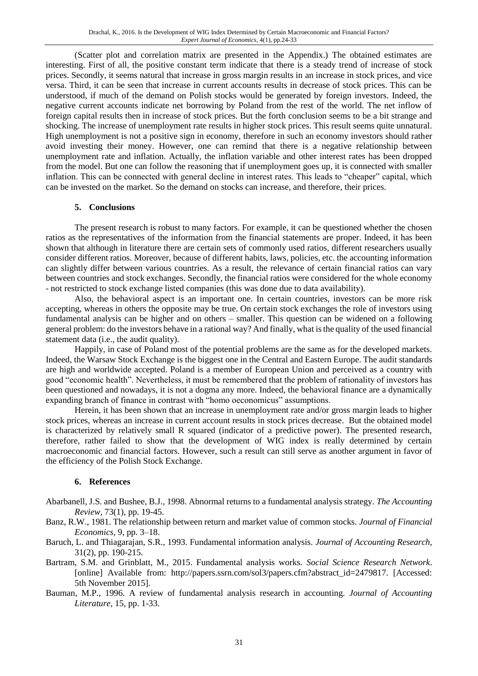(Scatter plot and correlation matrix are presented in the Appendix.) The obtained estimates are interesting. First of all, the positive constant term indicate that there is a steady trend of increase of stock prices. Secondly, it seems natural that increase in gross margin results in an increase in stock prices, and vice versa. Third, it can be seen that increase in current accounts results in decrease of stock prices. This can be understood, if much of the demand on Polish stocks would be generated by foreign investors. Indeed, the negative current accounts indicate net borrowing by Poland from the rest of the world. The net inflow of foreign capital results then in increase of stock prices. But the forth conclusion seems to be a bit strange and shocking. The increase of unemployment rate results in higher stock prices. This result seems quite unnatural. High unemployment is not a positive sign in economy, therefore in such an economy investors should rather avoid investing their money. However, one can remind that there is a negative relationship between unemployment rate and inflation. Actually, the inflation variable and other interest rates has been dropped from the model. But one can follow the reasoning that if unemployment goes up, it is connected with smaller inflation. This can be connected with general decline in interest rates. This leads to "cheaper" capital, which can be invested on the market. So the demand on stocks can increase, and therefore, their prices.

#### **5. Conclusions**

The present research is robust to many factors. For example, it can be questioned whether the chosen ratios as the representatives of the information from the financial statements are proper. Indeed, it has been shown that although in literature there are certain sets of commonly used ratios, different researchers usually consider different ratios. Moreover, because of different habits, laws, policies, etc. the accounting information can slightly differ between various countries. As a result, the relevance of certain financial ratios can vary between countries and stock exchanges. Secondly, the financial ratios were considered for the whole economy - not restricted to stock exchange listed companies (this was done due to data availability).

Also, the behavioral aspect is an important one. In certain countries, investors can be more risk accepting, whereas in others the opposite may be true. On certain stock exchanges the role of investors using fundamental analysis can be higher and on others – smaller. This question can be widened on a following general problem: do the investors behave in a rational way? And finally, what is the quality of the used financial statement data (i.e., the audit quality).

Happily, in case of Poland most of the potential problems are the same as for the developed markets. Indeed, the Warsaw Stock Exchange is the biggest one in the Central and Eastern Europe. The audit standards are high and worldwide accepted. Poland is a member of European Union and perceived as a country with good "economic health". Nevertheless, it must be remembered that the problem of rationality of investors has been questioned and nowadays, it is not a dogma any more. Indeed, the behavioral finance are a dynamically expanding branch of finance in contrast with "homo oeconomicus" assumptions.

Herein, it has been shown that an increase in unemployment rate and/or gross margin leads to higher stock prices, whereas an increase in current account results in stock prices decrease. But the obtained model is characterized by relatively small R squared (indicator of a predictive power). The presented research, therefore, rather failed to show that the development of WIG index is really determined by certain macroeconomic and financial factors. However, such a result can still serve as another argument in favor of the efficiency of the Polish Stock Exchange.

## **6. References**

- Abarbanell, J.S. and Bushee, B.J., 1998. Abnormal returns to a fundamental analysis strategy. *The Accounting Review,* 73(1), pp. 19-45.
- Banz, R.W., 1981. The relationship between return and market value of common stocks. *Journal of Financial Economics,* 9, pp. 3–18.
- Baruch, L. and Thiagarajan, S.R., 1993. Fundamental information analysis. *Journal of Accounting Research,* 31(2), pp. 190-215.
- Bartram, S.M. and Grinblatt, M., 2015. Fundamental analysis works. *Social Science Research Network*. [online] Available from: http://papers.ssrn.com/sol3/papers.cfm?abstract\_id=2479817. [Accessed: 5th November 2015].
- Bauman, M.P., 1996. A review of fundamental analysis research in accounting. *Journal of Accounting Literature,* 15, pp. 1-33.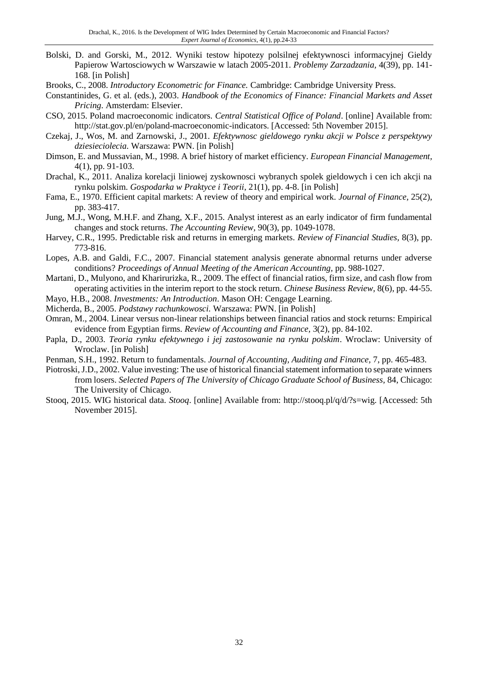- Bolski, D. and Gorski, M., 2012. Wyniki testow hipotezy polsilnej efektywnosci informacyjnej Gieldy Papierow Wartosciowych w Warszawie w latach 2005-2011. *Problemy Zarzadzania,* 4(39), pp. 141- 168. [in Polish]
- Brooks, C., 2008. *Introductory Econometric for Finance.* Cambridge: Cambridge University Press.
- Constantinides, G. et al. (eds.), 2003. *Handbook of the Economics of Finance: Financial Markets and Asset Pricing*. Amsterdam: Elsevier.
- CSO, 2015. Poland macroeconomic indicators. *Central Statistical Office of Poland*. [online] Available from: http://stat.gov.pl/en/poland-macroeconomic-indicators. [Accessed: 5th November 2015].
- Czekaj, J., Wos, M. and Zarnowski, J., 2001. *Efektywnosc gieldowego rynku akcji w Polsce z perspektywy dziesieciolecia.* Warszawa: PWN. [in Polish]
- Dimson, E. and Mussavian, M., 1998. A brief history of market efficiency. *European Financial Management,* 4(1), pp. 91-103.
- Drachal, K., 2011. Analiza korelacji liniowej zyskownosci wybranych spolek gieldowych i cen ich akcji na rynku polskim. *Gospodarka w Praktyce i Teorii*, 21(1), pp. 4-8. [in Polish]
- Fama, E., 1970. Efficient capital markets: A review of theory and empirical work. *Journal of Finance,* 25(2), pp. 383-417.
- Jung, M.J., Wong, M.H.F. and Zhang, X.F., 2015. Analyst interest as an early indicator of firm fundamental changes and stock returns. *The Accounting Review,* 90(3), pp. 1049-1078.
- Harvey, C.R., 1995. Predictable risk and returns in emerging markets. *Review of Financial Studies,* 8(3), pp. 773-816.
- Lopes, A.B. and Galdi, F.C., 2007. Financial statement analysis generate abnormal returns under adverse conditions? *Proceedings of Annual Meeting of the American Accounting,* pp. 988-1027.
- Martani, D., Mulyono, and Kharirurizka, R., 2009. The effect of financial ratios, firm size, and cash flow from operating activities in the interim report to the stock return. *Chinese Business Review,* 8(6), pp. 44-55.
- Mayo, H.B., 2008. *Investments: An Introduction*. Mason OH: Cengage Learning.
- Micherda, B., 2005. *Podstawy rachunkowosci.* Warszawa: PWN. [in Polish]
- Omran, M., 2004. Linear versus non-linear relationships between financial ratios and stock returns: Empirical evidence from Egyptian firms. *Review of Accounting and Finance,* 3(2), pp. 84-102.
- Papla, D., 2003. *Teoria rynku efektywnego i jej zastosowanie na rynku polskim*. Wroclaw: University of Wroclaw. [in Polish]
- Penman, S.H., 1992. Return to fundamentals. *Journal of Accounting, Auditing and Finance,* 7, pp. 465-483.
- Piotroski, J.D., 2002. Value investing: The use of historical financial statement information to separate winners from losers. *Selected Papers of The University of Chicago Graduate School of Business,* 84, Chicago: The University of Chicago.
- Stooq, 2015. WIG historical data. *Stooq*. [online] Available from: http://stooq.pl/q/d/?s=wig. [Accessed: 5th November 2015].